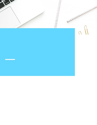# AN EASY GUIDE TO BECOMING INCORPORATED

Step-by-step instruction for Support Groups looking to become incorporated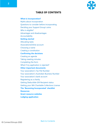

### **TABLE OF CONTENTS**

#### <span id="page-1-0"></span>**[What is incorporation?](#page-2-0)**

[Myths about incorporation](#page-2-1)

[Questions to consider before incorporating](#page-3-0)

[Deciding your Support G](#page-3-1)roup's aims

[Who is eligible?](#page-4-0)

[Advantages and disadvantages](#page-4-1)

[Accountability](#page-5-0)

#### **[Getting started](#page-5-1)**

**[Allocating tasks](#page-6-0)** 

[AssociationsOnline account](#page-6-1)

[Choosing a name](#page-6-2)

[Creating a constitution](#page-7-0)

#### **[Confirming the decisions](#page-8-0)**

[Creating an agenda](#page-8-1)

[Taking meeting minutes](#page-8-2)

[Completing the form](#page-9-0)

[What if my application is rejected?](#page-9-1)

#### **[Other important documents](#page-9-2)**

[Your association's Tax File Number](#page-9-3)

Your association's Aust[ralian Business Number](#page-10-0)

Your [association's bank account](#page-10-1)

[Registering as a charity](#page-10-2)

[Getting Deductible Gift Recipient status](#page-10-3)

[Getting your WA Charitable Collections License](#page-11-0)

**[The 'Becoming Incorporated' checklist](#page-12-0)**

**[Resources](#page-13-0)**

**[Grant resource websites](#page-14-0)**

**[Lodging application](#page-15-0)**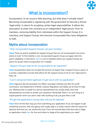

# What is incorporation?

<span id="page-2-0"></span>Incorporation. It can sound a little daunting, but what does it actually mean? Becoming incorporated is registering with the government to become a formal 'legal entity' in return for accepting certain legal responsibilities. It allows the association to enter into contracts as an independent 'legal person' from its members, removing liability from individuals within the Support Group. It is voluntary, and Support Groups who become incorporated then have obligations to fulfil.

# <span id="page-2-1"></span>Myths about incorporation

### "Only incorporated Support Groups can gain funding"

**False!** There are grants available for Support Groups that are not incorporated if you know where to look! To find whether a non-incorporated Support Group can apply check the grant's eligibility or restrictions. [Here](#page-14-0) is a list of websites where your Support Group can search for grants where incorporation isn't needed.

### "Support Groups need to be incorporated to be respected"

**False!** Incorporation does not increase the amount of respect that a Support Group is given. It is purely a registration process that allows for the Support Group to be its own 'legal person', that's all.

### "I can't call government agencies if I get stuck with my application"

**False!** Agencies like the Australian Tax Office, Australian Charities and Not-for-profit commission, and Department of Mines, Industry Regulation and Safety are all there to help you. Waiting times to speak to a service representative are usually pretty short and representatives are there to answer your questions. Remember there is no such thing as a stupid question and if you aren't clear with anything at all, just give them a call!

### "If I get the applications wrong they will just be rejected"

**False!** Don't let this fear stop you from submitting your application. If you do happen to get something incorrect, then the agency will usually reply in a timely manner with the reason for rejection and how you can resolve the issue. If you are worried about the best way to lodge an application check [here](#page-15-0) for how and where to lodge all the applications you need!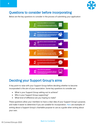

# <span id="page-3-0"></span>Questions to consider before incorporating

Below are the key questions to consider in the process of submitting your application



# <span id="page-3-1"></span>Deciding your Support Group's aims

A key point to raise with your Support Group before deciding whether to become incorporated is the aim of your association. Some key questions to consider are:

- What is your Support Group setting out to achieve?
- Who is your Support Group supporting?
- What kind of difference are you hoping to make?

These questions allow your members to have a clear idea of your Support Group's purpose, and make it easier to determine if you are suitable for incorporation. [Here](https://www.acnc.gov.au/tools/templates/charitable-purpose-examples) are examples of writing about a Support Group's charitable purpose to use as a guide when writing about your own.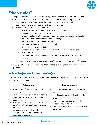

# <span id="page-4-0"></span>Who is eligible?

To be eligible to become incorporated your Support Group needs to fit into these criteria:

- Be a not-for-profit organisation (this means that your Support Group can make a profit to promote your association's aim, but members cannot make a profit)
- Have 6 members who have voting rights under your rules
- Formed for one of the following reasons:
	- **∙** Religious, educational, charitable or benevolent purposes;
	- **∙** Encouraging literature, science or the arts;
	- **∙** Providing medical treatment/attention or promoting the interests of people who suffer from a particular disability/condition;
	- **∙** Sport, recreation or amusement purposes;
	- **∙** Promoting the interests of a local community;
	- **∙** Preserving heritage of the State;
	- **∙** Promoting the interests of students or staff of educational institutions;
	- **∙** Political purposes;
	- **∙** Promoting the common interests of persons in a particular business, trade or industry;
	- **∙** Any other purpose as approved by the Commissioner for Consumer Protection

If your Support Group does not fit in with these criteria, or is for-profit, you cannot become incorporated.

# <span id="page-4-1"></span>Advantages and disadvantages

It is important to consider the advantages and disadvantages if your Support Group is looking to become incorporated.

| <b>Advantages</b>                                                                                                                                                                                                                                                                                                                                                                               | <b>Disadvantages</b>                                                                                                                                                                                                                                                                            |
|-------------------------------------------------------------------------------------------------------------------------------------------------------------------------------------------------------------------------------------------------------------------------------------------------------------------------------------------------------------------------------------------------|-------------------------------------------------------------------------------------------------------------------------------------------------------------------------------------------------------------------------------------------------------------------------------------------------|
| Your Support Group becomes its own<br>legal entity<br>Your Support Group can have ownership<br>$\bullet$<br>of property, enter into contracts and<br>access loans<br>The Support Group is held liable for its<br>$\bullet$<br>activities, not individual members (to an<br>extent)<br>Some grants and funding with<br>$\bullet$<br>incorporation as a requirement can<br>become more accessible | Your Support Group's flexibility will be<br>$\bullet$<br>reduced<br>Your financial records will no longer be<br>$\bullet$<br>private<br>There may be public scrutiny of the<br>$\bullet$<br>Support Group's activities<br>There are numerous fees associated with<br>$\bullet$<br>incorporation |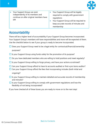

- Your Support Group can exist independently of its members and continue on after original members have left
- Your Support Group will be legally required to comply with government regulations
- Your Support Group will be required to keep accurate records of minutes and membership

# <span id="page-5-0"></span>Accountability

There will be a higher level of accountability if your Support Group becomes incorporated. Your Support Group's members will have responsibilities and more will be expected of them. Use the checklist below to see if your group is ready to become incorporated.

- $\Box$  Does your Support Group need to be a legal entity for contractual/financial/ownership purposes?
- $\Box$  Is your Support Group using funds solely for the promotion of its purpose?
- $\Box$  Do you have dedicated members who are willing to hold positions and meet regularly?
- $\Box$  Is your Support Group willing to forgo privacy, and have your actions scrutinised?
- $\Box$  Can your Support Group afford to have its accounts audited or find a pro bono auditor?
- $\Box$  Can your Support Group afford the fees that incorporating includes (both initial and ongoing)?
- $\Box$  Is your Support Group willing to maintain detailed and accurate records of membership and minutes?
- $\Box$  Is your Support Group willing to comply with government regulations and lose the flexibility of not being incorporated?

<span id="page-5-1"></span>If you have checked all of these boxes you are ready to move on to the next step!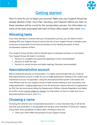

# **Getting started**

Now it's time for you to begin your journey! Make sure your Support Group has already elected a Chair, Vice-Chair, Secretary, and Treasurer before you start, as these members will be crucial for the incorporation process. For information on some of the tasks associated with each of these office-bearer roles check [here.](https://webcache.googleusercontent.com/search?q=cache:8F3bda9coewJ:https://www.charities.gov.sg/Documents/Sample_Job_Descriptions_of_Office_Bearers.pdf+&cd=11&hl=en&ct=clnk&gl=au)

## <span id="page-6-0"></span>Allocating tasks

If you have decided to continue with your incorporation journey, you will need to hold a meeting with your Support Group to ensure the rest of your Support Group's members want to become incorporated. Ensure that all members at the meeting are aware of what incorporation requires of them.

Your Support Group will also need to allocate tasks to individual members or committees. Your Support Group will need to nominate:

- Person/s to complete and submit the application (Chair recommended)
- Person/s to draft the rules
- Person/s to record minutes and table meetings (Secretary recommended)

# <span id="page-6-1"></span>AssociationsOnline account

Before starting the process of incorporation, it is highly recommended that you create an AssociationsOnline account in order for you to lodge applications relating to the creation and maintenance of your incorporation. Using the AssociationsOnline portal is the easiest and most efficient way for your Support Group to keep records relating to your association and lodge applications. Lodging applications over the portal also reduces the price of applications by 20%, but we recommend calling the Department of Mines, Industry Regulation and Safety to confirm as this may be subject to change. For information on how to create and use an AssociationsOnline account, click [here.](http://www.commerce.wa.gov.au/consumer-protection/help-using-associationsonline)

# <span id="page-6-2"></span>Choosing a name

Choosing the name for your incorporated association is a very important step. It will be the way that your association is recognisable and will give some indication of what your Support Group does. Some guidelines to follow when choosing a name are:

• Does your name reflect the purpose of your Support Group?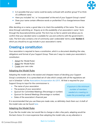

- Is it possible that your name could be easily confused with another group? If so think of a different name
- Have you included 'inc.' or 'incorporated' at the end of your Support Group's name?
- Does your name contain offensive words or profanities? If so change/remove these words

After deciding on a name, a good idea is to check the availability of the name. This can be done through submitting an *'Enquiry as to the availability of an association's name'* form through the AssociationsOnline portal. This form has no fee to submit and allows you to confirm that your decided name is available for use and conforms with the government's rules. The form also contains a list of commonly used 'undesirable' terms under **Section C** which you should try to not include in your association's name.

# Creating a constitution

Your association is required to have a constitution, which is a document detailing the rules, obligations and format of your Support Group. There are 3 ways to create your association's constitution:

- 1. Adopt the 'Model Rules'
- 2. Adapt the 'Model Rules'
- 3. Create your own rules

### Adopting the Model Rules

Adopting the model rules is the easiest and cheapest means of deciding your Support Group's constitution. It is a prescribed set of rules which comply with all the regulations set out in Schedule 1 of the *[Associations Incorporation Act 2015](https://www.legislation.wa.gov.au/legislation/prod/filestore.nsf/FileURL/mrdoc_28811.pdf/$FILE/Associations%20Incorporation%20Act%202015%20-%20%5B00-b0-02%5D.pdf?OpenElement)*. All that is required for your Support Group to input for the commissioner is:

- The name of your association
- The purpose of your association
- Quorum for Committee Meetings (Percentage or number)
- Quorum for General Meetings (Percentage or number)
- Dates of the association's financial year

<span id="page-7-0"></span>A quorum is the minimum number of members needed at a meeting to make the proceedings valid

It is recommended that you use these pre-made rules, so definitely check them out. A draft of the model rules can be found [here.](https://www.commerce.wa.gov.au/publications/model-rules-associations-2016)

### Adapting the Model Rules

If you like the model rules, but would like to change or alter a few parts, adapting would be the best choice. It is more expensive than adopting the model rules, as any alteration is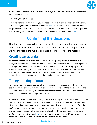

classified as you making your 'own rules'. However, it may be worth the extra money for the flexibility that it allows.

### Creating your own Rules

If you are creating your own rules, you will need to make sure that they comply with Schedule 1 of the *Incorporation Act* which can be found [here.](http://classic.austlii.edu.au/au/legis/wa/consol_act/aia2015307/sch1.html) It is important that you include a notfor-profit clause in order to be able to be tax deductible. This method is also more expensive than adopting the model rules. The fees associated with rules can be found [here.](https://www.commerce.wa.gov.au/consumer-protection/associations-fees-forms-and-online-transactions)

# Confirming the decisions

<span id="page-8-0"></span>Now that these decisions have been made, it is very important for your Support Group to hold a meeting to formally confirm the choices. Your Support Group will need to record the minutes and keep a formal record of the meeting.

### <span id="page-8-1"></span>Creating an agenda

An agenda clarifies the purpose and reason for meeting, and provides a structure to make sure your meetings are the most efficient and effective that they can be. Having an agenda is very important to help make the minute taker's job easier, and also to clearly lay out for attendees what is going to occur. Agendas must be sent out to all members beforehand so that they can make an informed decision if they need to attend. Agendas need to be recorded and kept with minutes so that they can be referred to at any time.

# <span id="page-8-2"></span>Taking meeting minutes

Taking minutes of all your meetings is highly important for two reasons. Firstly, keeping accurate minutes provides your association with a clear record of all the decisions made and what was discussed. Secondly, it provides protection for those acting on the decisions and helps accountability if something should go wrong.

A key aspect of taking minutes is finding a format that suits your association's needs. First you need to nominate a member (usually the association's secretary) to take minutes, and then discuss with them how you want your minutes formatted. Next choose a template from the one's provided here (or create one of your own) to make sure meeting minutes are uniform and easy to understand. Talk to your minute taker about if they would prefer to do hand written notes or type them up. [Here](#page-13-1) are some tips and tricks for them if they are not feeling confident or would like some guidance on how to take effective notes.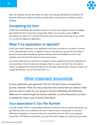

After the meeting minutes are written up make sure they get distributed to members for approval. Make sure copies of minutes are kept safe in one location to maintain records properly.

# <span id="page-9-0"></span>Completing the form

Finally! Now everything else has been sorted it's time for your Support Group to complete and submit the form to become incorporated. Make sure you keep a copy of **all** the documents you submit as Consumer Protection will not provide a final copy to you. Check [here](#page-15-1) on how to lodge this application.

# <span id="page-9-1"></span>What if my application is rejected?

Firstly, don't panic! Rejection of an application may have occurred for a number of reasons, such as administrative errors, so rejection doesn't mean that your group won't be able to become incorporated. Usually the rejection will be joined with feedback on why it was rejected, and if not don't be afraid to call up and enquire.

If you have fixed all errors and still your Support Group's application has been rejected, and you would like to have this decision reviewed, there is a way to do that! You will need to submit an application to review the decision to the State Administrative Tribunal. It does incur a large fee however. You can find that form [here.](https://www.justice.wa.gov.au/SATeForm/default.aspx)

# **Other important documents**

<span id="page-9-2"></span>So your application got approved! This isn't the end of your incorporation journey, however. There are many important documents that you need to make sure you have in order for your group to function efficiently and effectively. Make sure to read through this section carefully, as some documents you have to reapply for (even if you currently have them).

# <span id="page-9-3"></span>Your association's Tax File Number

A tax file number (TFN) is a personalised reference number for the tax system. Businesses can get TFNs the same as an individual can, and in order for your incorporation to function efficiently and legally it is important that your association has one. Even if your Support Group had a TFN before incorporation, you will still need to apply for a new one as you have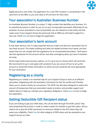

legally become a new entity. The application for a new TFN, however, is conveniently in the same form as the ABN, so you only need to fill one form for them both.

### <span id="page-10-0"></span>Your association's Australian Business Number

An Australian Business Number is a unique 11 digit number that identifies your business. It is an essential document in order for you to run your incorporated association effectively for tax purposes. As your association is now incorporated, you are classed as a new entity and that means even if your Support Group has previously had an ABN you will need to apply for a new one. Check [here](#page-15-0) on how to lodge this application.

### <span id="page-10-1"></span>Your association's bank account

It may seem obvious, but it is very important that you make sure that your association has its own bank account. This makes auditing and other tax related activities much easier, and also means that you can comply with the regulations for an incorporated association. Think about who the signatories for the account will be, and what contingency plans you have if members are away.

All the major banks have business options, so it is up to you to choose which will work best. We recommend to go in and speak with someone if you are unsure of how to set up the account or would like further information on which account would be the most appropriate for your association.

# <span id="page-10-2"></span>Registering as a charity

Registering as a charity is an essential step for your Support Group to work as an efficient association. Registering with the Australian Commission for Not-for-profits and Charities allows you to receive charity tax concessions. The ACNC has also been designed to reduce the amount of bureaucracy that your association needs to endure, and provides support and helpful advice to help you maintain your regulatory obligations. Check [here](#page-15-0) on how to lodge this application.

# <span id="page-10-3"></span>Getting Deductible Gift Recipient status

If you are looking to get your DGR status, this can be done through the ACNC portal. They have streamlined the process in order to make it easier for charities to get their status. All you need to do is give the ACNC permission to send your details to the ATO where they will assess your eligibility. Check [here](https://www.ato.gov.au/Non-profit/Getting-started/Getting-endorsed/Is-my-organisation-eligible-for-DGR-endorsement-/Types-of-DGRs/) for what category of DGR status and tax exemptions your Support Group can claim.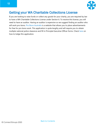

# <span id="page-11-0"></span>Getting your WA Charitable Collections License

If you are looking to raise funds or collect any goods for your charity, you are required by law to have a WA Charitable Collections License under Section 6. To receive this license, you will need to have an auditor. Having an auditor is expensive so we suggest finding an auditor who will work pro-bono. Pro [Bono Australia](https://probonoaustralia.com.au/) is a website that allows you to place advertisements for free for pro bono work. This application is quite lengthy and will require you to obtain multiple national police clearance and fill in Principle Executive Officer forms. Check [here](#page-15-0) on how to lodge this application.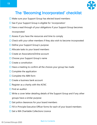

# <span id="page-12-0"></span>The 'Becoming Incorporated' checklist

- $\Box$  Make sure your Support Group has elected board members
- $\square$  See if your Support Group is eligible for 'incorporation'
- $\Box$  Have a read through of your obligations if your Support Group becomes incorporated
- $\Box$  Assess if you have the resources and time to comply
- $\Box$  Check with your other members if they also wish to become incorporated
- $\Box$  Define your Support Group's purpose
- $\Box$  Allocate tasks to your board members
- □ Create an AssociationsOnline account
- $\Box$  Choose your Support Group's name
- $\Box$  Create a constitution
- $\Box$  Have a meeting to confirm all the choices your group has made
- $\Box$  Complete the application
- $\Box$  Complete the ABN form
- $\Box$  Create a business bank account
- $\Box$  Register as a charity with the ACNC
- $\Box$  Find an auditor
- $\Box$  Write a cover letter detailing details of the Support Group and if any other groups have a similar purpose
- $\Box$  Get police clearances for your board members
- $\Box$  Fill in Principle Executive Officer forms for each of your board members
- **□ Get a WA Charitable Collections Licence**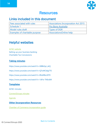

# **Resources**

# <span id="page-13-0"></span>Links included in this document

| Fees associated with rules     | <b>Associations Incorporation Act 2015</b> |
|--------------------------------|--------------------------------------------|
| Schedule 1                     | <b>Pro Bono Australia</b>                  |
| Model rules draft              | Types of DGR                               |
| Examples of charitable purpose | <b>AssociationsOnline help</b>             |

## Helpful websites

**ACNC** website Setting up your [business](https://www.ato.gov.au/business/managing-your-small-business-records/getting-started/setting-up-your-business-banking/) banking [Charitable Tax Concessions](http://www.abr.business.gov.au/Help/CharitableTaxConcession)

### <span id="page-13-1"></span>**Taking minutes**

[https://www.youtube.com/watch?v=X8BkGpi\\_skQ](https://www.youtube.com/watch?v=X8BkGpi_skQ)

<https://www.youtube.com/watch?v=QToMCbIgT7E>

<https://www.youtube.com/watch?v=IRsbRBu30T0>

<https://www.youtube.com/watch?v=1dFw-TNEx6M>

### **Templates**

[ACNC minutes](http://connectgroups.org.au/wp-content/uploads/2019/09/Minutes-Template-1.docx) 

[ConnectGroups minutes](http://connectgroups.org.au/wp-content/uploads/2019/09/Minutes-Template-2.docx)

[Agenda](http://connectgroups.org.au/wp-content/uploads/2019/09/Template-of-Agenda.docx)

### **Other Incorporation Resources**

[Chamber of Commerce incorporation guide](https://www.commerce.wa.gov.au/books/inc-guide-incorporated-associations-western-australia)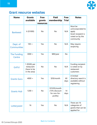

# <span id="page-14-0"></span>Grant resource websites

| <b>Name</b>                    | <b>Grants</b><br>available                                 | <b>Free</b><br>grants<br>resources | <b>Paid</b><br>membership                                  | <b>Free</b><br><b>Trial</b> | <b>Notes</b>                                                                                |
|--------------------------------|------------------------------------------------------------|------------------------------------|------------------------------------------------------------|-----------------------------|---------------------------------------------------------------------------------------------|
| <b>Bankwest</b>                | 6(1000)                                                    | <b>No</b>                          | <b>No</b>                                                  | N/A                         | Must be<br>unincorporated to<br>apply<br>Grant recipient is<br>voted on by the<br>community |
| Dept. of<br><b>Communities</b> | $100 +$                                                    | Yes                                | <b>No</b>                                                  | N/A                         | May require<br>auspicing                                                                    |
| The Funding<br>Centre          | $3000 +$                                                   | Yes                                | \$89/year                                                  | <b>No</b>                   |                                                                                             |
| Grill'd                        | 1 (\$500) per<br>restaurant<br>(have to be<br>in the area) | <b>No</b>                          | <b>No</b>                                                  | N/A                         | Funding recipient<br>is voted on by<br>restaurant<br>customers                              |
| <b>Grants Guru</b>             | $4000 +$                                                   | Yes                                | \$39/month                                                 | 60<br>days                  | A limited<br>directory search is<br>available without<br>registering                        |
| <b>Grants Hub</b>              | $1200 +$                                                   | <b>No</b>                          | \$19.95/month<br>(15% discount<br>for non-for-<br>profits) | 14<br>days                  |                                                                                             |
| Lotterywest                    | 16                                                         | Yes                                | No                                                         | N/A                         | There are 16<br>categories of<br>grants that can be<br>applied for                          |